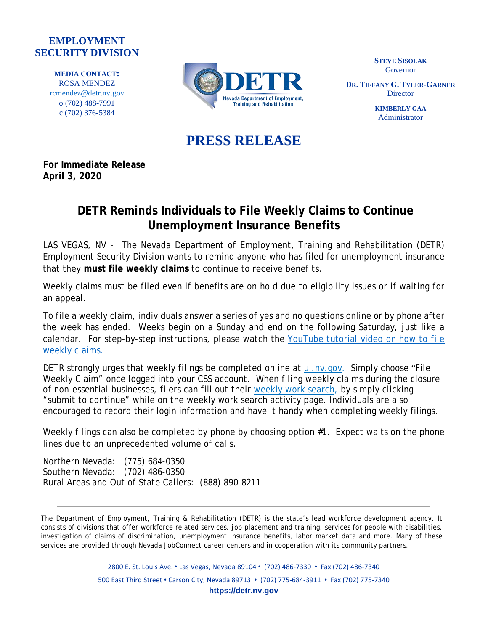## **EMPLOYMENT SECURITY DIVISION**

**MEDIA CONTACT:** ROSA MENDEZ [rcmendez@detr.nv.gov](mailto:rcmendez@detr.nv.gov) o (702) 488-7991 c (702) 376-5384



**STEVE SISOLAK** Governor

**DR. TIFFANY G. TYLER-GARNER Director** 

> **KIMBERLY GAA** Administrator

## **PRESS RELEASE**

**For Immediate Release April 3, 2020**

## **DETR Reminds Individuals to File Weekly Claims to Continue Unemployment Insurance Benefits**

LAS VEGAS, NV - The Nevada Department of Employment, Training and Rehabilitation (DETR) Employment Security Division wants to remind anyone who has filed for unemployment insurance that they **must file weekly claims** to continue to receive benefits.

Weekly claims must be filed even if benefits are on hold due to eligibility issues or if waiting for an appeal.

To file a weekly claim, individuals answer a series of yes and no questions online or by phone after the week has ended. Weeks begin on a Sunday and end on the following Saturday, just like a calendar. For step-by-step instructions, please watch the [YouTube](https://www.youtube.com/watch?v=Qq1omf1gwU4&t=34s) tutorial video on how to file weekly [claims.](https://www.youtube.com/watch?v=Qq1omf1gwU4&t=34s)

DETR strongly urges that weekly filings be completed online at [ui.nv.gov.](http://ui.nv.gov/) Simply choose "File Weekly Claim" once logged into your CSS account. When filing weekly claims during the closure of non-essential businesses, filers can fill out their [weekly](https://cms.detr.nv.gov/Content/Media/Bypass_Work_Search.pdf) work search, by simply clicking "submit to continue" while on the weekly work search activity page. Individuals are also encouraged to record their login information and have it handy when completing weekly filings.

Weekly filings can also be completed by phone by choosing option #1. Expect waits on the phone lines due to an unprecedented volume of calls.

Northern Nevada: (775) 684-0350 Southern Nevada: (702) 486-0350 Rural Areas and Out of State Callers: (888) 890-8211

The Department of Employment, Training & Rehabilitation (DETR) is the state's lead workforce development agency. It consists of divisions that offer workforce related services, job placement and training, services for people with disabilities, investigation of claims of discrimination, unemployment insurance benefits, labor market data and more. Many of these services are provided through Nevada JobConnect career centers and in cooperation with its community partners.

> 2800 E. St. Louis Ave. • Las Vegas, Nevada 89104 • (702) 486-7330 • Fax (702) 486-7340 500 East Third Street • Carson City, Nevada 89713 • (702) 775-684-3911 • Fax (702) 775-7340 **https://detr.nv.gov**